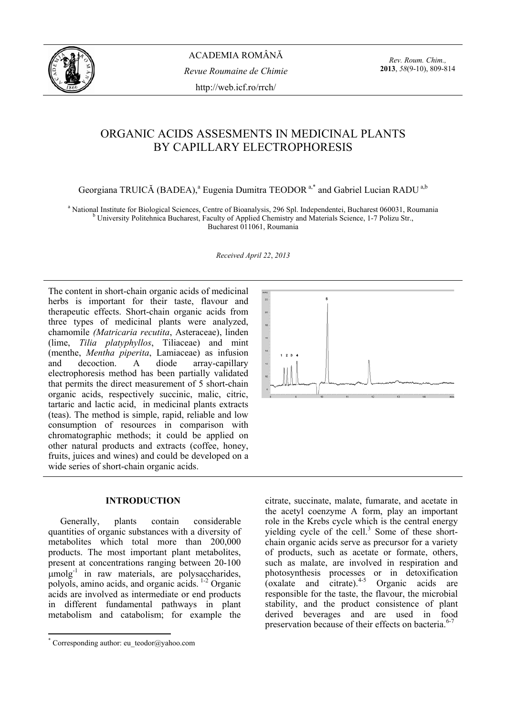

*Rev. Roum. Chim.,*  **2013**, *58*(9-10), 809-814

# ORGANIC ACIDS ASSESMENTS IN MEDICINAL PLANTS BY CAPILLARY ELECTROPHORESIS

Georgiana TRUICĂ (BADEA),<sup>a</sup> Eugenia Dumitra TEODOR<sup>a,\*</sup> and Gabriel Lucian RADU<sup>a,b</sup>

<sup>a</sup> National Institute for Biological Sciences, Centre of Bioanalysis, 296 Spl. Independentei, Bucharest 060031, Roumania b<br>b University Bolitabrica Bucharest, Foculty of Applied Chemistry and Materials Science, 1.7 Boliz University Politehnica Bucharest, Faculty of Applied Chemistry and Materials Science, 1-7 Polizu Str., Bucharest 011061, Roumania

*Received April 22*, *2013* 

The content in short-chain organic acids of medicinal herbs is important for their taste, flavour and therapeutic effects. Short-chain organic acids from three types of medicinal plants were analyzed, chamomile *(Matricaria recutita*, Asteraceae), linden (lime, *Tilia platyphyllos*, Tiliaceae) and mint (menthe, *Mentha piperita*, Lamiaceae) as infusion and decoction. A diode array-capillary electrophoresis method has been partially validated that permits the direct measurement of 5 short-chain organic acids, respectively succinic, malic, citric, tartaric and lactic acid, in medicinal plants extracts (teas). The method is simple, rapid, reliable and low consumption of resources in comparison with chromatographic methods; it could be applied on other natural products and extracts (coffee, honey, fruits, juices and wines) and could be developed on a wide series of short-chain organic acids.

# **INTRODUCTION\***

Generally, plants contain considerable quantities of organic substances with a diversity of metabolites which total more than 200,000 products. The most important plant metabolites, present at concentrations ranging between 20-100  $\mu$ molg<sup>-1</sup> in raw materials, are polysaccharides, polyols, amino acids, and organic acids. 1-2 Organic acids are involved as intermediate or end products in different fundamental pathways in plant metabolism and catabolism; for example the



citrate, succinate, malate, fumarate, and acetate in the acetyl coenzyme A form, play an important role in the Krebs cycle which is the central energy yielding cycle of the cell. $3$  Some of these shortchain organic acids serve as precursor for a variety of products, such as acetate or formate, others, such as malate, are involved in respiration and photosynthesis processes or in detoxification (oxalate and citrate). $4-5$  Organic acids are responsible for the taste, the flavour, the microbial stability, and the product consistence of plant derived beverages and are used in food preservation because of their effects on bacteria.<sup>6-7</sup>

 $\overline{\phantom{a}}$ \* Corresponding author: eu\_teodor@yahoo.com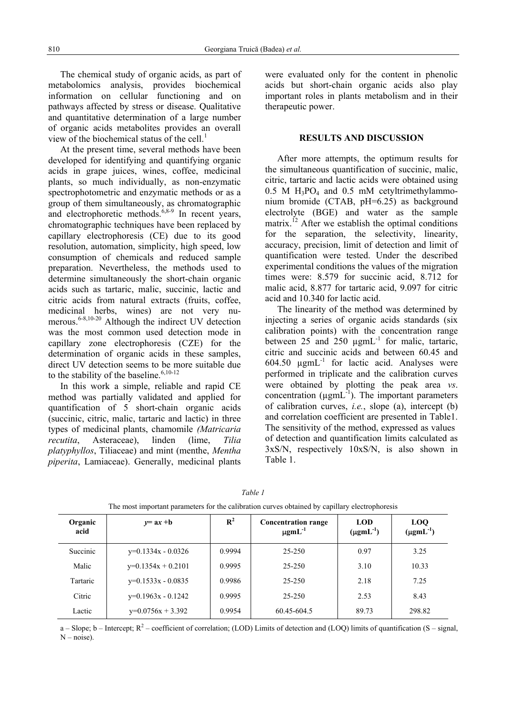The chemical study of organic acids, as part of metabolomics analysis, provides biochemical information on cellular functioning and on pathways affected by stress or disease. Qualitative and quantitative determination of a large number of organic acids metabolites provides an overall view of the biochemical status of the cell. $<sup>1</sup>$ </sup>

At the present time, several methods have been developed for identifying and quantifying organic acids in grape juices, wines, coffee, medicinal plants, so much individually, as non-enzymatic spectrophotometric and enzymatic methods or as a group of them simultaneously, as chromatographic and electrophoretic methods.<sup>6,8-9</sup> In recent years, chromatographic techniques have been replaced by capillary electrophoresis (CE) due to its good resolution, automation, simplicity, high speed, low consumption of chemicals and reduced sample preparation. Nevertheless, the methods used to determine simultaneously the short-chain organic acids such as tartaric, malic, succinic, lactic and citric acids from natural extracts (fruits, coffee, medicinal herbs, wines) are not very numerous.<sup>6-8,10-20</sup> Although the indirect UV detection was the most common used detection mode in capillary zone electrophoresis (CZE) for the determination of organic acids in these samples, direct UV detection seems to be more suitable due to the stability of the baseline.  $6,10-12$ 

In this work a simple, reliable and rapid CE method was partially validated and applied for quantification of 5 short-chain organic acids (succinic, citric, malic, tartaric and lactic) in three types of medicinal plants, chamomile *(Matricaria recutita*, Asteraceae), linden (lime, *Tilia platyphyllos*, Tiliaceae) and mint (menthe, *Mentha piperita*, Lamiaceae). Generally, medicinal plants

were evaluated only for the content in phenolic acids but short-chain organic acids also play important roles in plants metabolism and in their therapeutic power.

# **RESULTS AND DISCUSSION**

After more attempts, the optimum results for the simultaneous quantification of succinic, malic, citric, tartaric and lactic acids were obtained using  $0.5$  M  $H_3PO_4$  and  $0.5$  mM cetyltrimethylammonium bromide (CTAB, pH=6.25) as background electrolyte (BGE) and water as the sample matrix.<sup>12</sup> After we establish the optimal conditions for the separation, the selectivity, linearity, accuracy, precision, limit of detection and limit of quantification were tested. Under the described experimental conditions the values of the migration times were: 8.579 for succinic acid, 8.712 for malic acid, 8.877 for tartaric acid, 9.097 for citric acid and 10.340 for lactic acid.

The linearity of the method was determined by injecting a series of organic acids standards (six calibration points) with the concentration range between  $25$  and  $250 \text{ ugmL}^{-1}$  for malic, tartaric, citric and succinic acids and between 60.45 and 604.50  $\mu$ gmL<sup>-1</sup> for lactic acid. Analyses were performed in triplicate and the calibration curves were obtained by plotting the peak area *vs*. concentration  $(\mu gmL^{-1})$ . The important parameters of calibration curves, *i.e.*, slope (a), intercept (b) and correlation coefficient are presented in Table1. The sensitivity of the method, expressed as values of detection and quantification limits calculated as 3xS/N, respectively 10xS/N, is also shown in Table 1.

| The most important parameters for the canonation carves obtained by capinary ciccu ophoresis |                      |                |                                                       |                                  |                                  |
|----------------------------------------------------------------------------------------------|----------------------|----------------|-------------------------------------------------------|----------------------------------|----------------------------------|
| Organic<br>acid                                                                              | $y=ax+b$             | $\mathbb{R}^2$ | <b>Concentration range</b><br>$\mu$ gmL <sup>-1</sup> | <b>LOD</b><br>$(\mu g m L^{-1})$ | <b>LOQ</b><br>$(\mu g m L^{-1})$ |
| Succinic                                                                                     | $y=0.1334x - 0.0326$ | 0.9994         | $25 - 250$                                            | 0.97                             | 3.25                             |
| Malic                                                                                        | $y=0.1354x + 0.2101$ | 0.9995         | $25 - 250$                                            | 3.10                             | 10.33                            |
| Tartaric                                                                                     | $y=0.1533x - 0.0835$ | 0.9986         | $25 - 250$                                            | 2.18                             | 7.25                             |
| Citric                                                                                       | $y=0.1963x - 0.1242$ | 0.9995         | $25 - 250$                                            | 2.53                             | 8.43                             |
| Lactic                                                                                       | $y=0.0756x + 3.392$  | 0.9954         | 60.45-604.5                                           | 89.73                            | 298.82                           |

| Table 1                                                                                        |
|------------------------------------------------------------------------------------------------|
| The most important parameters for the calibration curves obtained by capillary electrophoresis |

a – Slope;  $b$  – Intercept;  $R^2$  – coefficient of correlation; (LOD) Limits of detection and (LOQ) limits of quantification (S – signal,  $N - noise$ ).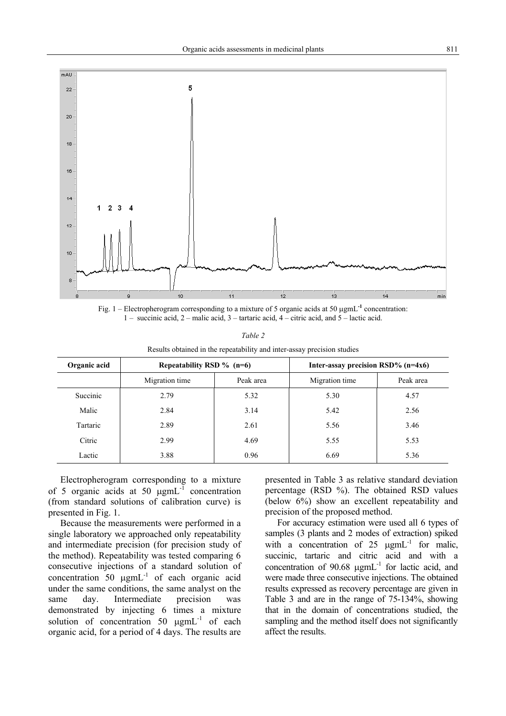

Fig. 1 – Electropherogram corresponding to a mixture of 5 organic acids at 50 µgmL**-1** concentration: 1 – succinic acid, 2 – malic acid, 3 – tartaric acid, 4 – citric acid, and 5 – lactic acid.

| anı<br>c |  |
|----------|--|
|          |  |

Results obtained in the repeatability and inter-assay precision studies

| Organic acid | Repeatability RSD $\%$ (n=6) |           | Inter-assay precision $RSD\%$ (n=4x6) |           |  |
|--------------|------------------------------|-----------|---------------------------------------|-----------|--|
|              | Migration time               | Peak area | Migration time                        | Peak area |  |
| Succinic     | 2.79                         | 5.32      | 5.30                                  | 4.57      |  |
| Malic        | 2.84                         | 3.14      | 5.42                                  | 2.56      |  |
| Tartaric     | 2.89                         | 2.61      | 5.56                                  | 3.46      |  |
| Citric       | 2.99                         | 4.69      | 5.55                                  | 5.53      |  |
| Lactic       | 3.88                         | 0.96      | 6.69                                  | 5.36      |  |

Electropherogram corresponding to a mixture of 5 organic acids at 50  $\mu$ gmL<sup>-1</sup> concentration (from standard solutions of calibration curve) is presented in Fig. 1.

Because the measurements were performed in a single laboratory we approached only repeatability and intermediate precision (for precision study of the method). Repeatability was tested comparing 6 consecutive injections of a standard solution of concentration  $50 \mu gmL^{-1}$  of each organic acid under the same conditions, the same analyst on the same day. Intermediate precision was demonstrated by injecting 6 times a mixture solution of concentration 50  $\mu$ gmL<sup>-1</sup> of each organic acid, for a period of 4 days. The results are

presented in Table 3 as relative standard deviation percentage (RSD %). The obtained RSD values (below 6%) show an excellent repeatability and precision of the proposed method.

For accuracy estimation were used all 6 types of samples (3 plants and 2 modes of extraction) spiked with a concentration of  $25 \mu gmL^{-1}$  for malic, succinic, tartaric and citric acid and with a concentration of  $90.68 \text{ µgm}L^{-1}$  for lactic acid, and were made three consecutive injections. The obtained results expressed as recovery percentage are given in Table 3 and are in the range of 75-134%, showing that in the domain of concentrations studied, the sampling and the method itself does not significantly affect the results.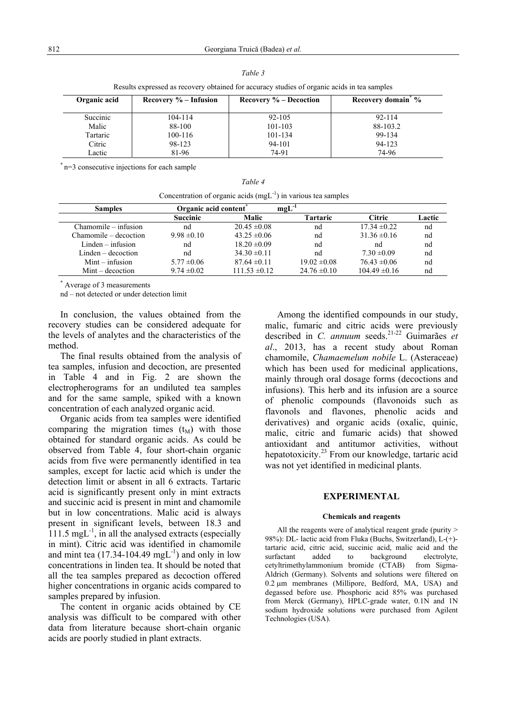| Results expressed as recovery obtained for accuracy studies of organic acids in tea samples |                          |                           |                                |  |
|---------------------------------------------------------------------------------------------|--------------------------|---------------------------|--------------------------------|--|
| Organic acid                                                                                | Recovery $\%$ – Infusion | Recovery $\%$ – Decoction | Recovery domain <sup>*</sup> % |  |
| Succinic                                                                                    | 104-114                  | $92 - 105$                | $92 - 114$                     |  |
| Malic                                                                                       | 88-100                   | 101-103                   | 88-103.2                       |  |
| Tartaric                                                                                    | 100-116                  | 101-134                   | 99-134                         |  |
| Citric                                                                                      | 98-123                   | 94-101                    | 94-123                         |  |
| Lactic                                                                                      | 81-96                    | 74-91                     | 74-96                          |  |

*Table 3* 

 $R$  results expressed as recovery obtained for accuracy studies of organic actions in tea samples of organic actions in tea samples of organic actions in tea samples in tea samples in tea samples in tea samples in tea sam

\* n=3 consecutive injections for each sample

| Concentration of organic acids $(mgL^{-1})$ in various tea samples |                 |                                    |                  |                   |        |
|--------------------------------------------------------------------|-----------------|------------------------------------|------------------|-------------------|--------|
| <b>Samples</b>                                                     |                 | $mgL^{-1}$<br>Organic acid content |                  |                   |        |
|                                                                    | <b>Succinic</b> | <b>Malic</b>                       | <b>Tartaric</b>  | <b>Citric</b>     | Lactic |
| Chamomile – infusion                                               | nd              | $20.45 \pm 0.08$                   | nd               | $17.34 \pm 0.22$  | nd     |
| Chamomile – decoction                                              | $9.98 \pm 0.10$ | $43.25 \pm 0.06$                   | nd               | $31.36 \pm 0.16$  | nd     |
| $Linden - infusion$                                                | nd              | $18.20 \pm 0.09$                   | nd               | nd                | nd     |
| $Linden-decoction$                                                 | nd              | $34.30 \pm 0.11$                   | nd               | $7.30 \pm 0.09$   | nd     |
| $Mint - infusion$                                                  | $5.77 \pm 0.06$ | $87.64 \pm 0.11$                   | $19.02 \pm 0.08$ | $76.43 \pm 0.06$  | nd     |
| $Mint - decoction$                                                 | $9.74 \pm 0.02$ | $111.53 \pm 0.12$                  | $24.76 \pm 0.10$ | $104.49 \pm 0.16$ | nd     |

*Table 4* 

\* Average of 3 measurements

nd – not detected or under detection limit

In conclusion, the values obtained from the recovery studies can be considered adequate for the levels of analytes and the characteristics of the method.

The final results obtained from the analysis of tea samples, infusion and decoction, are presented in Table 4 and in Fig. 2 are shown the electropherograms for an undiluted tea samples and for the same sample, spiked with a known concentration of each analyzed organic acid.

Organic acids from tea samples were identified comparing the migration times  $(t_M)$  with those obtained for standard organic acids. As could be observed from Table 4, four short-chain organic acids from five were permanently identified in tea samples, except for lactic acid which is under the detection limit or absent in all 6 extracts. Tartaric acid is significantly present only in mint extracts and succinic acid is present in mint and chamomile but in low concentrations. Malic acid is always present in significant levels, between 18.3 and  $111.5 \text{ mgL}^{-1}$ , in all the analysed extracts (especially in mint). Citric acid was identified in chamomile and mint tea  $(17.34-104.49 \text{ mgL}^{-1})$  and only in low concentrations in linden tea. It should be noted that all the tea samples prepared as decoction offered higher concentrations in organic acids compared to samples prepared by infusion.

The content in organic acids obtained by CE analysis was difficult to be compared with other data from literature because short-chain organic acids are poorly studied in plant extracts.

Among the identified compounds in our study, malic, fumaric and citric acids were previously described in *C. annuum* seeds.21-22 Guimarães *et al*., 2013, has a recent study about Roman chamomile, *Chamaemelum nobile* L. (Asteraceae) which has been used for medicinal applications, mainly through oral dosage forms (decoctions and infusions). This herb and its infusion are a source of phenolic compounds (flavonoids such as flavonols and flavones, phenolic acids and derivatives) and organic acids (oxalic, quinic, malic, citric and fumaric acids) that showed antioxidant and antitumor activities, without hepatotoxicity.<sup>23</sup> From our knowledge, tartaric acid was not yet identified in medicinal plants.

## **EXPERIMENTAL**

#### **Chemicals and reagents**

All the reagents were of analytical reagent grade (purity  $\geq$ 98%): DL- lactic acid from Fluka (Buchs, Switzerland), L-(+) tartaric acid, citric acid, succinic acid, malic acid and the surfactant added to background electrolyte. cetyltrimethylammonium bromide (CTAB) from Sigma-Aldrich (Germany). Solvents and solutions were filtered on 0.2 µm membranes (Millipore, Bedford, MA, USA) and degassed before use. Phosphoric acid 85% was purchased from Merck (Germany), HPLC-grade water, 0.1N and 1N sodium hydroxide solutions were purchased from Agilent Technologies (USA).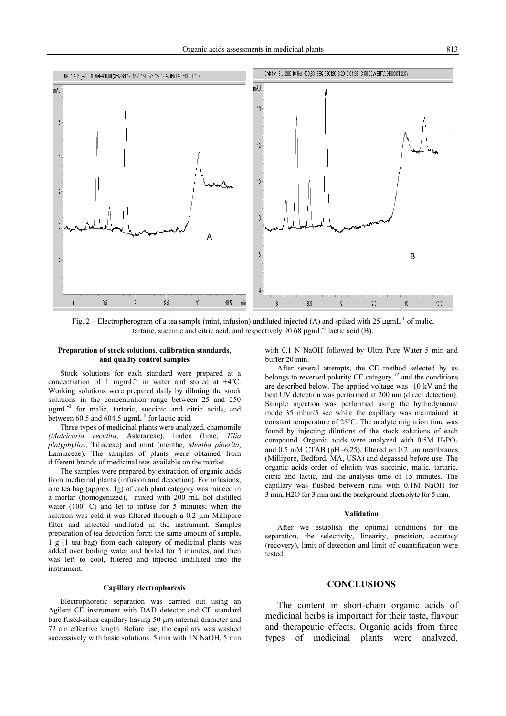

Fig. 2 – Electropherogram of a tea sample (mint, infusion) undiluted injected (A) and spiked with 25  $\mu$ gmL<sup>-1</sup> of malic, tartaric, succinic and citric acid, and respectively  $90.68 \mu$ gmL<sup>-1</sup> lactic acid (B).

#### **Preparation of stock solutions**, **calibration standards**, **and quality control samples**

Stock solutions for each standard were prepared at a concentration of 1 mgmL<sup>-1</sup> in water and stored at  $+4^{\circ}$ C. Working solutions were prepared daily by diluting the stock solutions in the concentration range between 25 and 250 ugmL<sup>-1</sup> for malic, tartaric, succinic and citric acids, and between 60.5 and 604.5 µgmL**-1** for lactic acid.

Three types of medicinal plants were analyzed, chamomile *(Matricaria recutita*, Asteraceae), linden (lime, *Tilia platyphyllos*, Tiliaceae) and mint (menthe, *Mentha piperita*, Lamiaceae). The samples of plants were obtained from different brands of medicinal teas available on the market.

The samples were prepared by extraction of organic acids from medicinal plants (infusion and decoction). For infusions, one tea bag (approx. 1g) of each plant category was minced in a mortar (homogenized), mixed with 200 mL hot distilled water  $(100^{\circ}$  C) and let to infuse for 5 minutes; when the solution was cold it was filtered through a 0.2 µm Millipore filter and injected undiluted in the instrument. Samples preparation of tea decoction form: the same amount of sample, 1 g (1 tea bag) from each category of medicinal plants was added over boiling water and boiled for 5 minutes, and then was left to cool, filtered and injected undiluted into the instrument.

### **Capillary electrophoresis**

Electrophoretic separation was carried out using an Agilent CE instrument with DAD detector and CE standard bare fused-silica capillary having 50 µm internal diameter and 72 cm effective length. Before use, the capillary was washed successively with basic solutions: 5 min with 1N NaOH, 5 min with 0.1 N NaOH followed by Ultra Pure Water 5 min and buffer 20 min.

After several attempts, the CE method selected by us belongs to reversed polarity CE category, $12$  and the conditions are described below. The applied voltage was -10 kV and the best UV detection was performed at 200 nm (direct detection). Sample injection was performed using the hydrodynamic mode 35 mbar/5 sec while the capillary was maintained at constant temperature of 25°C. The analyte migration time was found by injecting dilutions of the stock solutions of each compound. Organic acids were analyzed with 0.5M H3PO4 and 0.5 mM CTAB (pH=6.25), filtered on 0.2 µm membranes (Millipore, Bedford, MA, USA) and degassed before use. The organic acids order of elution was succinic, malic, tartaric, citric and lactic, and the analysis time of 15 minutes. The capillary was flushed between runs with 0.1M NaOH for 3 min, H2O for 3 min and the background electrolyte for 5 min.

#### **Validation**

After we establish the optimal conditions for the separation, the selectivity, linearity, precision, accuracy (recovery), limit of detection and limit of quantification were tested.

### **CONCLUSIONS**

The content in short-chain organic acids of medicinal herbs is important for their taste, flavour and therapeutic effects. Organic acids from three types of medicinal plants were analyzed,